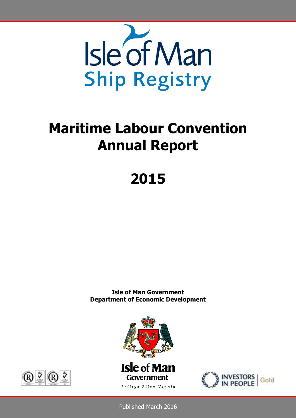

# **Maritime Labour Convention Annual Report**

# **2015**

**Isle of Man Government Department of Economic Development**





Published March 2016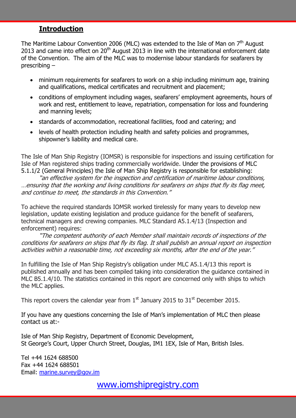## **Introduction**

The Maritime Labour Convention 2006 (MLC) was extended to the Isle of Man on  $7<sup>th</sup>$  August 2013 and came into effect on 20<sup>th</sup> August 2013 in line with the international enforcement date of the Convention. The aim of the MLC was to modernise labour standards for seafarers by prescribing –

- minimum requirements for seafarers to work on a ship including minimum age, training and qualifications, medical certificates and recruitment and placement;
- conditions of employment including wages, seafarers' employment agreements, hours of work and rest, entitlement to leave, repatriation, compensation for loss and foundering and manning levels;
- standards of accommodation, recreational facilities, food and catering; and
- levels of health protection including health and safety policies and programmes, shipowner's liability and medical care.

The Isle of Man Ship Registry (IOMSR) is responsible for inspections and issuing certification for Isle of Man registered ships trading commercially worldwide. Under the provisions of MLC 5.1.1/2 (General Principles) the Isle of Man Ship Registry is responsible for establishing:

"an effective system for the inspection and certification of maritime labour conditions, …ensuring that the working and living conditions for seafarers on ships that fly its flag meet, and continue to meet, the standards in this Convention."

To achieve the required standards IOMSR worked tirelessly for many years to develop new legislation, update existing legislation and produce guidance for the benefit of seafarers, technical managers and crewing companies. MLC Standard A5.1.4/13 (Inspection and enforcement) requires:

"The competent authority of each Member shall maintain records of inspections of the conditions for seafarers on ships that fly its flag. It shall publish an annual report on inspection activities within a reasonable time, not exceeding six months, after the end of the year."

In fulfilling the Isle of Man Ship Registry's obligation under MLC A5.1.4/13 this report is published annually and has been compiled taking into consideration the guidance contained in MLC B5.1.4/10. The statistics contained in this report are concerned only with ships to which the MLC applies.

This report covers the calendar year from  $1<sup>st</sup>$  January 2015 to 31 $<sup>st</sup>$  December 2015.</sup>

If you have any questions concerning the Isle of Man's implementation of MLC then please contact us at:-

Isle of Man Ship Registry, Department of Economic Development, St George's Court, Upper Church Street, Douglas, IM1 1EX, Isle of Man, British Isles.

Tel +44 1624 688500 Fax +44 1624 688501 Email: [marine.survey@gov.im](mailto:marine.survey@gov.im)

[www.iomshipregistry.com](http://www.iomshipregistry.com/)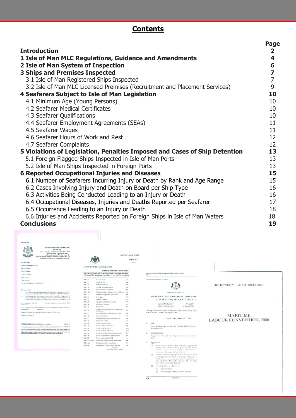# **Contents**

|                                                                            | Page                    |
|----------------------------------------------------------------------------|-------------------------|
| <b>Introduction</b>                                                        | $\mathbf{2}$            |
| 1 Isle of Man MLC Regulations, Guidance and Amendments                     | 4                       |
| 2 Isle of Man System of Inspection                                         | 6                       |
| <b>3 Ships and Premises Inspected</b>                                      | $\overline{\mathbf{z}}$ |
| 3.1 Isle of Man Registered Ships Inspected                                 | $\overline{7}$          |
| 3.2 Isle of Man MLC Licensed Premises (Recruitment and Placement Services) | 9                       |
| 4 Seafarers Subject to Isle of Man Legislation                             | 10                      |
| 4.1 Minimum Age (Young Persons)                                            | 10                      |
| 4.2 Seafarer Medical Certificates                                          | 10                      |
| 4.3 Seafarer Qualifications                                                | 10                      |
| 4.4 Seafarer Employment Agreements (SEAs)                                  | 11                      |
| 4.5 Seafarer Wages                                                         | 11                      |
| 4.6 Seafarer Hours of Work and Rest                                        | 12                      |
| 4.7 Seafarer Complaints                                                    | 12                      |
| 5 Violations of Legislation, Penalties Imposed and Cases of Ship Detention | 13                      |
| 5.1 Foreign Flagged Ships Inspected in Isle of Man Ports                   | 13                      |
| 5.2 Isle of Man Ships Inspected in Foreign Ports                           | 13                      |
| <b>6 Reported Occupational Injuries and Diseases</b>                       | 15                      |
| 6.1 Number of Seafarers Incurring Injury or Death by Rank and Age Range    | 15                      |
| 6.2 Cases Involving Injury and Death on Board per Ship Type                | 16                      |
| 6.3 Activities Being Conducted Leading to an Injury or Death               | 16                      |
| 6.4 Occupational Diseases, Injuries and Deaths Reported per Seafarer       | 17                      |
| 6.5 Occurrence Leading to an Injury or Death                               | 18                      |
| 6.6 Injuries and Accidents Reported on Foreign Ships in Isle of Man Waters | 18                      |
| <b>Conclusions</b>                                                         | 19                      |



 $\overline{E\Lambda}$ 

 $\begin{array}{r} 30.0234/13 \end{array}$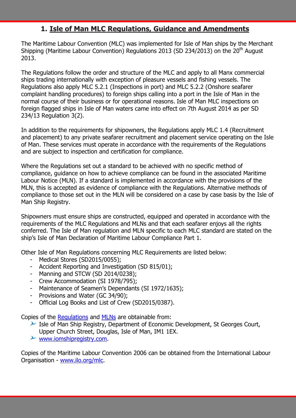# **1. Isle of Man MLC Regulations, Guidance and Amendments**

The Maritime Labour Convention (MLC) was implemented for Isle of Man ships by the Merchant Shipping (Maritime Labour Convention) Regulations 2013 (SD 234/2013) on the  $20<sup>th</sup>$  August 2013.

The Regulations follow the order and structure of the MLC and apply to all Manx commercial ships trading internationally with exception of pleasure vessels and fishing vessels. The Regulations also apply MLC 5.2.1 (Inspections in port) and MLC 5.2.2 (Onshore seafarer complaint handling procedures) to foreign ships calling into a port in the Isle of Man in the normal course of their business or for operational reasons. Isle of Man MLC inspections on foreign flagged ships in Isle of Man waters came into effect on 7th August 2014 as per SD 234/13 Regulation 3(2).

In addition to the requirements for shipowners, the Regulations apply MLC 1.4 (Recruitment and placement) to any private seafarer recruitment and placement service operating on the Isle of Man. These services must operate in accordance with the requirements of the Regulations and are subject to inspection and certification for compliance.

Where the Regulations set out a standard to be achieved with no specific method of compliance, guidance on how to achieve compliance can be found in the associated Maritime Labour Notice (MLN). If a standard is implemented in accordance with the provisions of the MLN, this is accepted as evidence of compliance with the Regulations. Alternative methods of compliance to those set out in the MLN will be considered on a case by case basis by the Isle of Man Ship Registry.

Shipowners must ensure ships are constructed, equipped and operated in accordance with the requirements of the MLC Regulations and MLNs and that each seafarer enjoys all the rights conferred. The Isle of Man regulation and MLN specific to each MLC standard are stated on the ship's Isle of Man Declaration of Maritime Labour Compliance Part 1.

Other Isle of Man Regulations concerning MLC Requirements are listed below:

- Medical Stores (SD2015/0055);
- Accident Reporting and Investigation (SD 815/01);
- Manning and STCW (SD 2014/0238);
- Crew Accommodation (SI 1978/795);
- Maintenance of Seamen's Dependants (SI 1972/1635);
- Provisions and Water (GC 34/90);
- Official Log Books and List of Crew (SD2015/0387).

Copies of the [Regulations](http://www.iomshipregistry.com/legislation/) and [MLNs](http://www.iomshipregistry.com/MLC/mlns.xml) are obtainable from:

- $\mathcal P$  Isle of Man Ship Registry, Department of Economic Development, St Georges Court, Upper Church Street, Douglas, Isle of Man, IM1 1EX.
- $\lambda$  [www.iomshipregistry.com.](http://www.iomshipregistry.com/)

Copies of the Maritime Labour Convention 2006 can be obtained from the International Labour Organisation - [www.ilo.org/mlc.](http://www.ilo.org/mlc)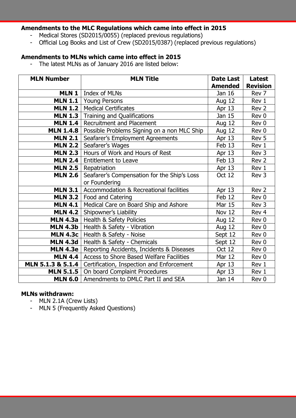## **Amendments to the MLC Regulations which came into effect in 2015**

- Medical Stores (SD2015/0055) (replaced previous regulations)
- Official Log Books and List of Crew (SD2015/0387) (replaced previous regulations)

#### **Amendments to MLNs which came into effect in 2015**

- The latest MLNs as of January 2016 are listed below:

| <b>MLN Number</b> | <b>MLN Title</b>                            | <b>Date Last</b><br><b>Amended</b> | <b>Latest</b><br><b>Revision</b> |
|-------------------|---------------------------------------------|------------------------------------|----------------------------------|
| <b>MLN1</b>       | Index of MLNs                               | Jan 16                             | Rev 7                            |
| <b>MLN 1.1</b>    | <b>Young Persons</b>                        | <b>Aug 12</b>                      | Rev 1                            |
| <b>MLN 1.2</b>    | <b>Medical Certificates</b>                 | Apr 13                             | Rev 2                            |
| <b>MLN 1.3</b>    | <b>Training and Qualifications</b>          | Jan 15                             | Rev 0                            |
| <b>MLN 1.4</b>    | <b>Recruitment and Placement</b>            | Aug 12                             | Rev 0                            |
| <b>MLN 1.4.8</b>  | Possible Problems Signing on a non MLC Ship | Aug 12                             | Rev 0                            |
| <b>MLN 2.1</b>    | Seafarer's Employment Agreements            | Apr 13                             | Rev 5                            |
| <b>MLN 2.2</b>    | Seafarer's Wages                            | Feb 13                             | Rev 1                            |
| <b>MLN 2.3</b>    | Hours of Work and Hours of Rest             | Apr 13                             | Rev 3                            |
| <b>MLN 2.4</b>    | <b>Entitlement to Leave</b>                 | Feb 13                             | Rev 2                            |
| <b>MLN 2.5</b>    | Repatriation                                | Apr 13                             | Rev 1                            |
| <b>MLN 2.6</b>    | Seafarer's Compensation for the Ship's Loss | Oct 12                             | Rev 3                            |
|                   | or Foundering                               |                                    |                                  |
| <b>MLN 3.1</b>    | Accommodation & Recreational facilities     | Apr 13                             | Rev 2                            |
| <b>MLN 3.2</b>    | Food and Catering                           | Feb 12                             | Rev 0                            |
| <b>MLN 4.1</b>    | Medical Care on Board Ship and Ashore       | Mar 15                             | Rev 3                            |
| <b>MLN 4.2</b>    | Shipowner's Liability                       | Nov 12                             | Rev 4                            |
| <b>MLN 4.3a</b>   | Health & Safety Policies                    | <b>Aug 12</b>                      | Rev 0                            |
| <b>MLN 4.3b</b>   | Health & Safety - Vibration                 | Aug 12                             | Rev 0                            |
| <b>MLN 4.3c</b>   | Health & Safety - Noise                     | Sept 12                            | Rev 0                            |
| <b>MLN 4.3d</b>   | Health & Safety - Chemicals                 | Sept 12                            | Rev 0                            |
| <b>MLN 4.3e</b>   | Reporting Accidents, Incidents & Diseases   | <b>Oct 12</b>                      | Rev 0                            |
| <b>MLN 4.4</b>    | Access to Shore Based Welfare Facilities    | <b>Mar 12</b>                      | Rev 0                            |
| MLN 5.1.3 & 5.1.4 | Certification, Inspection and Enforcement   | Apr $13$                           | Rev 1                            |
| <b>MLN 5.1.5</b>  | On board Complaint Procedures               | Apr 13                             | Rev 1                            |
| <b>MLN 6.0</b>    | Amendments to DMLC Part II and SEA          | Jan 14                             | Rev 0                            |

## **MLNs withdrawn:**

- MLN 2.1A (Crew Lists)
- MLN 5 (Frequently Asked Questions)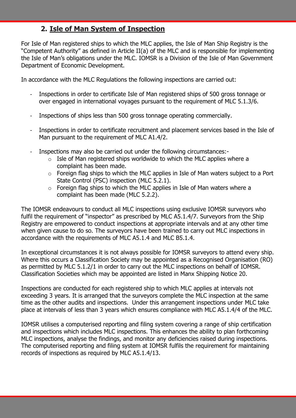# **2. Isle of Man System of Inspection**

For Isle of Man registered ships to which the MLC applies, the Isle of Man Ship Registry is the "Competent Authority" as defined in Article II(a) of the MLC and is responsible for implementing the Isle of Man's obligations under the MLC. IOMSR is a Division of the Isle of Man Government Department of Economic Development.

In accordance with the MLC Regulations the following inspections are carried out:

- Inspections in order to certificate Isle of Man registered ships of 500 gross tonnage or over engaged in international voyages pursuant to the requirement of MLC 5.1.3/6.
- Inspections of ships less than 500 gross tonnage operating commercially.
- Inspections in order to certificate recruitment and placement services based in the Isle of Man pursuant to the requirement of MLC A1.4/2.
- Inspections may also be carried out under the following circumstances:-
	- $\circ$  Isle of Man registered ships worldwide to which the MLC applies where a complaint has been made.
	- $\circ$  Foreign flag ships to which the MLC applies in Isle of Man waters subject to a Port State Control (PSC) inspection (MLC 5.2.1).
	- o Foreign flag ships to which the MLC applies in Isle of Man waters where a complaint has been made (MLC 5.2.2).

The IOMSR endeavours to conduct all MLC inspections using exclusive IOMSR surveyors who fulfil the requirement of "inspector" as prescribed by MLC A5.1.4/7. Surveyors from the Ship Registry are empowered to conduct inspections at appropriate intervals and at any other time when given cause to do so. The surveyors have been trained to carry out MLC inspections in accordance with the requirements of MLC A5.1.4 and MLC B5.1.4.

In exceptional circumstances it is not always possible for IOMSR surveyors to attend every ship. Where this occurs a Classification Society may be appointed as a Recognised Organisation (RO) as permitted by MLC 5.1.2/1 in order to carry out the MLC inspections on behalf of IOMSR. Classification Societies which may be appointed are listed in Manx Shipping Notice 20.

Inspections are conducted for each registered ship to which MLC applies at intervals not exceeding 3 years. It is arranged that the surveyors complete the MLC inspection at the same time as the other audits and inspections. Under this arrangement inspections under MLC take place at intervals of less than 3 years which ensures compliance with MLC A5.1.4/4 of the MLC.

IOMSR utilises a computerised reporting and filing system covering a range of ship certification and inspections which includes MLC inspections. This enhances the ability to plan forthcoming MLC inspections, analyse the findings, and monitor any deficiencies raised during inspections. The computerised reporting and filing system at IOMSR fulfils the requirement for maintaining records of inspections as required by MLC A5.1.4/13.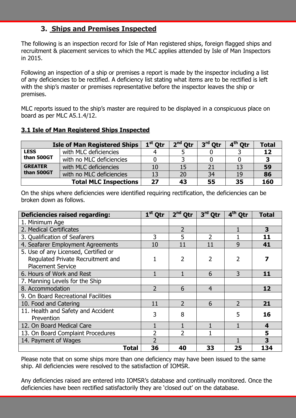# **3. Ships and Premises Inspected**

The following is an inspection record for Isle of Man registered ships, foreign flagged ships and recruitment & placement services to which the MLC applies attended by Isle of Man Inspectors in 2015.

Following an inspection of a ship or premises a report is made by the inspector including a list of any deficiencies to be rectified. A deficiency list stating what items are to be rectified is left with the ship's master or premises representative before the inspector leaves the ship or premises.

MLC reports issued to the ship's master are required to be displayed in a conspicuous place on board as per MLC A5.1.4/12.

## **3.1 Isle of Man Registered Ships Inspected**

| <b>Isle of Man Registered Ships</b> | $1st$ Otr                    | $2nd$ Otr | 3 <sup>rd</sup> Otr | 4 <sup>th</sup> Otr | <b>Total</b> |     |
|-------------------------------------|------------------------------|-----------|---------------------|---------------------|--------------|-----|
| <b>LESS</b>                         | with MLC deficiencies        |           |                     |                     |              | 12  |
| than 500GT                          | with no MLC deficiencies     |           |                     |                     |              |     |
| <b>GREATER</b>                      | with MLC deficiencies        | 10        | 15                  | 21                  | 13           | 59  |
| than 500GT                          | with no MLC deficiencies     | 13        | 20                  | 34                  | <b>19</b>    | 86  |
|                                     | <b>Total MLC Inspections</b> | 27        | 43                  | 55                  | 35           | 160 |

On the ships where deficiencies were identified requiring rectification, the deficiencies can be broken down as follows.

| <b>Deficiencies raised regarding:</b>                                                                 | $1st$ Qtr                | $2nd$ Qtr      | $3rd$ Qtr      | $4th$ Qtr                | <b>Total</b>            |
|-------------------------------------------------------------------------------------------------------|--------------------------|----------------|----------------|--------------------------|-------------------------|
| 1. Minimum Age                                                                                        |                          |                |                |                          |                         |
| 2. Medical Certificates                                                                               |                          | $\overline{2}$ |                |                          | 3                       |
| 3. Qualification of Seafarers                                                                         | 3                        | 5              | $\overline{2}$ |                          | 11                      |
| 4. Seafarer Employment Agreements                                                                     | 10                       | 11             | 11             | 9                        | 41                      |
| 5. Use of any Licensed, Certified or<br>Regulated Private Recruitment and<br><b>Placement Service</b> |                          | 2              | $\overline{2}$ | 2                        |                         |
| 6. Hours of Work and Rest                                                                             |                          |                | 6              | 3                        | 11                      |
| 7. Manning Levels for the Ship                                                                        |                          |                |                |                          |                         |
| 8. Accommodation                                                                                      | $\overline{\phantom{0}}$ | 6              | $\overline{4}$ |                          | 12                      |
| 9. On Board Recreational Facilities                                                                   |                          |                |                |                          |                         |
| 10. Food and Catering                                                                                 | 11                       | $\overline{2}$ | 6              | $\overline{\phantom{0}}$ | 21                      |
| 11. Health and Safety and Accident<br>Prevention                                                      | 3                        | 8              |                | 5                        | 16                      |
| 12. On Board Medical Care                                                                             |                          |                |                |                          | $\overline{\mathbf{4}}$ |
| 13. On Board Complaint Procedures                                                                     | $\overline{2}$           | $\overline{2}$ |                |                          | 5                       |
| 14. Payment of Wages                                                                                  | $\overline{\phantom{a}}$ |                |                |                          | 3                       |
| Total                                                                                                 | 36                       | 40             | 33             | 25                       | 134                     |

Please note that on some ships more than one deficiency may have been issued to the same ship. All deficiencies were resolved to the satisfaction of IOMSR.

Any deficiencies raised are entered into IOMSR's database and continually monitored. Once the deficiencies have been rectified satisfactorily they are 'closed out' on the database.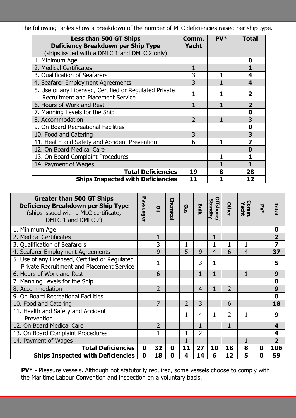The following tables show a breakdown of the number of MLC deficiencies raised per ship type.

| <b>Less than 500 GT Ships</b><br><b>Deficiency Breakdown per Ship Type</b>                         | Comm.<br><b>Yacht</b> | PV* | <b>Total</b>   |
|----------------------------------------------------------------------------------------------------|-----------------------|-----|----------------|
| (ships issued with a DMLC 1 and DMLC 2 only)                                                       |                       |     |                |
| 1. Minimum Age                                                                                     |                       |     | 0              |
| 2. Medical Certificates                                                                            |                       |     |                |
| 3. Qualification of Seafarers                                                                      | 3                     |     | 4              |
| 4. Seafarer Employment Agreements                                                                  | 3                     |     | 4              |
| 5. Use of any Licensed, Certified or Regulated Private<br><b>Recruitment and Placement Service</b> |                       |     | 2              |
| 6. Hours of Work and Rest                                                                          |                       |     | $\overline{2}$ |
| 7. Manning Levels for the Ship                                                                     |                       |     | 0              |
| 8. Accommodation                                                                                   | $\overline{2}$        |     | 3              |
| 9. On Board Recreational Facilities                                                                |                       |     | 0              |
| 10. Food and Catering                                                                              | 3                     |     | 3              |
| 11. Health and Safety and Accident Prevention                                                      | 6                     | 1   | 7              |
| 12. On Board Medical Care                                                                          |                       |     | 0              |
| 13. On Board Complaint Procedures                                                                  |                       |     |                |
| 14. Payment of Wages                                                                               |                       |     |                |
| <b>Total Deficiencies</b>                                                                          | 19                    | 8   | 28             |
| <b>Ships Inspected with Deficiencies</b>                                                           | 11                    |     | 12             |

| <b>Greater than 500 GT Ships</b><br><b>Deficiency Breakdown per Ship Type</b><br>(ships issued with a MLC certificate,<br>DMLC 1 and DMLC 2) | Passenger        | Q              | Chemica | Gas            | <b>Bulk</b>    | Offshore/<br>Standby | <b>Other</b>   | Comm.<br>Yacht | $\sum_{\ast}$ | Total                   |
|----------------------------------------------------------------------------------------------------------------------------------------------|------------------|----------------|---------|----------------|----------------|----------------------|----------------|----------------|---------------|-------------------------|
| 1. Minimum Age                                                                                                                               |                  |                |         |                |                |                      |                |                |               | 0                       |
| 2. Medical Certificates                                                                                                                      |                  | 1              |         |                |                |                      |                |                |               | $\overline{2}$          |
| 3. Qualification of Seafarers                                                                                                                |                  | 3              |         | $\mathbf{1}$   |                |                      | 1              |                |               | $\overline{\mathbf{z}}$ |
| 4. Seafarer Employment Agreements                                                                                                            |                  | 9              |         | 5              | 9              | 4                    | 6              | $\overline{4}$ |               | 37                      |
| 5. Use of any Licensed, Certified or Regulated<br><b>Private Recruitment and Placement Service</b>                                           |                  | 1              |         |                | 3              | 1                    |                |                |               | 5                       |
| 6. Hours of Work and Rest                                                                                                                    |                  | 6              |         |                | $\mathbf{1}$   | $\mathbf{1}$         |                | 1              |               | 9                       |
| 7. Manning Levels for the Ship                                                                                                               |                  |                |         |                |                |                      |                |                |               | $\boldsymbol{0}$        |
| 8. Accommodation                                                                                                                             |                  | $\overline{2}$ |         |                | $\overline{4}$ |                      | $\overline{2}$ |                |               | 9                       |
| 9. On Board Recreational Facilities                                                                                                          |                  |                |         |                |                |                      |                |                |               | $\mathbf 0$             |
| 10. Food and Catering                                                                                                                        |                  | 7              |         | $\overline{2}$ | 3              |                      | 6              |                |               | 18                      |
| 11. Health and Safety and Accident<br>Prevention                                                                                             |                  |                |         | 1              | 4              | 1                    | $\overline{2}$ |                |               | 9                       |
| 12. On Board Medical Care                                                                                                                    |                  | $\overline{2}$ |         |                | $\mathbf{1}$   |                      | $\mathbf{1}$   |                |               | $\overline{\mathbf{4}}$ |
| 13. On Board Complaint Procedures                                                                                                            |                  | 1              |         |                | $\overline{2}$ |                      |                |                |               | 4                       |
| 14. Payment of Wages                                                                                                                         |                  |                |         |                |                |                      |                |                |               | $\overline{2}$          |
| <b>Total Deficiencies</b>                                                                                                                    | $\boldsymbol{0}$ | 32             | 0       | 11             | 27             | 10                   | 18             | 8              | 0             | 106                     |
| <b>Ships Inspected with Deficiencies</b>                                                                                                     | $\mathbf 0$      | 18             | 0       | 4              | 14             | 6                    | 12             | 5              | 0             | 59                      |

**PV\*** - Pleasure vessels. Although not statutorily required, some vessels choose to comply with the Maritime Labour Convention and inspection on a voluntary basis.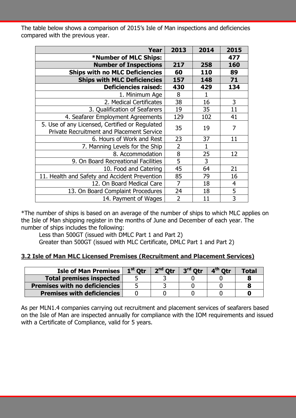The table below shows a comparison of 2015's Isle of Man inspections and deficiencies compared with the previous year.

| Year                                             | 2013           | 2014         | 2015 |
|--------------------------------------------------|----------------|--------------|------|
| *Number of MLC Ships:                            |                |              | 477  |
| <b>Number of Inspections</b>                     | 217            | 258          | 160  |
| <b>Ships with no MLC Deficiencies</b>            | 60             | 110          | 89   |
| <b>Ships with MLC Deficiencies</b>               | 157            | 148          | 71   |
| <b>Deficiencies raised:</b>                      | 430            | 429          | 134  |
| 1. Minimum Age                                   | 8              | 1            |      |
| 2. Medical Certificates                          | 38             | 16           | 3    |
| 3. Qualification of Seafarers                    | 19             | 35           | 11   |
| 4. Seafarer Employment Agreements                | 129            | 102          | 41   |
| 5. Use of any Licensed, Certified or Regulated   | 35             | 19           | 7    |
| <b>Private Recruitment and Placement Service</b> |                |              |      |
| 6. Hours of Work and Rest                        | 23             | 37           | 11   |
| 7. Manning Levels for the Ship                   | $\overline{2}$ | $\mathbf{1}$ |      |
| 8. Accommodation                                 | 8              | 25           | 12   |
| 9. On Board Recreational Facilities              | 5              | 3            |      |
| 10. Food and Catering                            | 45             | 64           | 21   |
| 11. Health and Safety and Accident Prevention    | 85             | 79           | 16   |
| 12. On Board Medical Care                        | $\overline{7}$ | 18           | 4    |
| 13. On Board Complaint Procedures                | 24             | 18           | 5    |
| 14. Payment of Wages                             | $\overline{2}$ | 11           | 3    |

\*The number of ships is based on an average of the number of ships to which MLC applies on the Isle of Man shipping register in the months of June and December of each year. The number of ships includes the following:

Less than 500GT (issued with DMLC Part 1 and Part 2)

Greater than 500GT (issued with MLC Certificate, DMLC Part 1 and Part 2)

#### **3.2 Isle of Man MLC Licensed Premises (Recruitment and Placement Services)**

| <b>Isle of Man Premises I</b>        | 1 <sup>st</sup> Otr | $2nd$ Otr $\overline{ }$ | $3^{\text{rd}}$ Otr | 4 <sup>th</sup> Otr | Total |
|--------------------------------------|---------------------|--------------------------|---------------------|---------------------|-------|
| <b>Total premises inspected</b>      |                     |                          |                     |                     |       |
| <b>Premises with no deficiencies</b> |                     |                          |                     |                     |       |
| <b>Premises with deficiencies</b>    |                     |                          |                     |                     |       |

As per MLN1.4 companies carrying out recruitment and placement services of seafarers based on the Isle of Man are inspected annually for compliance with the IOM requirements and issued with a Certificate of Compliance, valid for 5 years.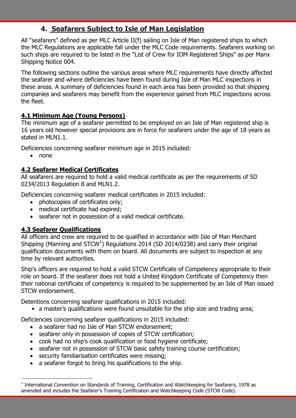# **4. Seafarers Subject to Isle of Man Legislation**

All "seafarers" defined as per MLC Article II(f) sailing on Isle of Man registered ships to which the MLC Regulations are applicable fall under the MLC Code requirements. Seafarers working on such ships are required to be listed in the "List of Crew for IOM Registered Ships" as per Manx Shipping Notice 004.

The following sections outline the various areas where MLC requirements have directly affected the seafarer and where deficiencies have been found during Isle of Man MLC inspections in these areas. A summary of deficiencies found in each area has been provided so that shipping companies and seafarers may benefit from the experience gained from MLC inspections across the fleet.

## **4.1 Minimum Age (Young Persons)**

The minimum age of a seafarer permitted to be employed on an Isle of Man registered ship is 16 years old however special provisions are in force for seafarers under the age of 18 years as stated in MLN1.1.

Deficiencies concerning seafarer minimum age in 2015 included:

none

 $\overline{a}$ 

## **4.2 Seafarer Medical Certificates**

All seafarers are required to hold a valid medical certificate as per the requirements of SD 0234/2013 Regulation 8 and MLN1.2.

Deficiencies concerning seafarer medical certificates in 2015 included:

- photocopies of certificates only;
- medical certificate had expired:
- seafarer not in possession of a valid medical certificate.

## **4.3 Seafarer Qualifications**

All officers and crew are required to be qualified in accordance with Isle of Man Merchant Shipping (Manning and STCW<sup>1</sup>) Regulations 2014 (SD 2014/0238) and carry their original qualification documents with them on board. All documents are subject to inspection at any time by relevant authorities.

Ship's officers are required to hold a valid STCW Certificate of Competency appropriate to their role on board. If the seafarer does not hold a United Kingdom Certificate of Competency then their national certificate of competency is required to be supplemented by an Isle of Man issued STCW endorsement.

Detentions concerning seafarer qualifications in 2015 included:

• a master's qualifications were found unsuitable for the ship size and trading area;

Deficiencies concerning seafarer qualifications in 2015 included:

- a seafarer had no Isle of Man STCW endorsement;
- seafarer only in possession of copies of STCW certification;
- cook had no ship's cook qualification or food hygiene certificate;
- seafarer not in possession of STCW basic safety training course certification;
- security familiarisation certificates were missing;
- a seafarer forgot to bring his qualifications to the ship.

<sup>&</sup>lt;sup>1</sup> International Convention on Standards of Training, Certification and Watchkeeping for Seafarers, 1978 as amended and includes the Seafarer's Training Certification and Watchkeeping Code (STCW Code).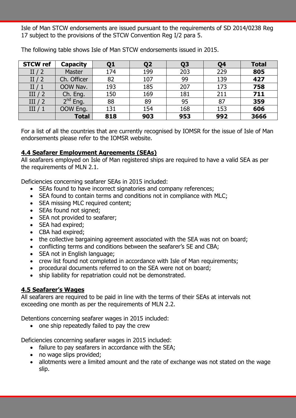Isle of Man STCW endorsements are issued pursuant to the requirements of SD 2014/0238 Reg 17 subject to the provisions of the STCW Convention Reg I/2 para 5.

| <b>STCW ref</b> | <b>Capacity</b> | Q <sub>1</sub> | Q2  | Q <sub>3</sub> | Q <sub>4</sub> | <b>Total</b> |
|-----------------|-----------------|----------------|-----|----------------|----------------|--------------|
| II $/2$         | Master          | 174            | 199 | 203            | 229            | 805          |
| II $/2$         | Ch. Officer     | 82             | 107 | 99             | 139            | 427          |
| II/1            | OOW Nav.        | 193            | 185 | 207            | 173            | 758          |
| III/2           | Ch. Eng.        | 150            | 169 | 181            | 211            | 711          |
| III/2           | $2nd$ Eng.      | 88             | 89  | 95             | 87             | 359          |
| III/1           | OOW Eng.        | 131            | 154 | 168            | 153            | 606          |
|                 | <b>Total</b>    | 818            | 903 | 953            | 992            | 3666         |

The following table shows Isle of Man STCW endorsements issued in 2015.

For a list of all the countries that are currently recognised by IOMSR for the issue of Isle of Man endorsements please refer to the IOMSR website.

#### **4.4 Seafarer Employment Agreements (SEAs)**

All seafarers employed on Isle of Man registered ships are required to have a valid SEA as per the requirements of MLN 2.1.

Deficiencies concerning seafarer SEAs in 2015 included:

- SEAs found to have incorrect signatories and company references;
- SEA found to contain terms and conditions not in compliance with MLC;
- SEA missing MLC required content;
- SEAs found not signed;
- SEA not provided to seafarer;
- SEA had expired;
- CBA had expired:
- the collective bargaining agreement associated with the SEA was not on board;
- conflicting terms and conditions between the seafarer's SE and CBA;
- SEA not in English language;
- crew list found not completed in accordance with Isle of Man requirements;
- procedural documents referred to on the SEA were not on board;
- ship liability for repatriation could not be demonstrated.

#### **4.5 Seafarer's Wages**

All seafarers are required to be paid in line with the terms of their SEAs at intervals not exceeding one month as per the requirements of MLN 2.2.

Detentions concerning seafarer wages in 2015 included:

• one ship repeatedly failed to pay the crew

Deficiencies concerning seafarer wages in 2015 included:

- failure to pay seafarers in accordance with the SEA;
- no wage slips provided;
- allotments were a limited amount and the rate of exchange was not stated on the wage slip.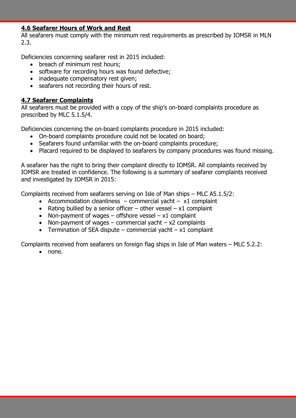#### **4.6 Seafarer Hours of Work and Rest**

All seafarers must comply with the minimum rest requirements as prescribed by IOMSR in MLN 2.3.

Deficiencies concerning seafarer rest in 2015 included:

- breach of minimum rest hours:
- software for recording hours was found defective;
- inadequate compensatory rest given;
- seafarers not recording their hours of rest.

#### **4.7 Seafarer Complaints**

All seafarers must be provided with a copy of the ship's on-board complaints procedure as prescribed by MLC 5.1.5/4.

Deficiencies concerning the on-board complaints procedure in 2015 included:

- On-board complaints procedure could not be located on board;
- Seafarers found unfamiliar with the on-board complaints procedure;
- Placard required to be displayed to seafarers by company procedures was found missing.

A seafarer has the right to bring their complaint directly to IOMSR. All complaints received by IOMSR are treated in confidence. The following is a summary of seafarer complaints received and investigated by IOMSR in 2015:

Complaints received from seafarers serving on Isle of Man ships – MLC A5.1.5/2:

- Accommodation cleanliness commercial yacht  $x1$  complaint
- Rating bullied by a senior officer other vessel  $x1$  complaint
- Non-payment of wages offshore vessel  $x1$  complaint
- Non-payment of wages commercial yacht  $x2$  complaints
- Termination of SEA dispute commercial yacht  $x1$  complaint

Complaints received from seafarers on foreign flag ships in Isle of Man waters – MLC 5.2.2:

• none.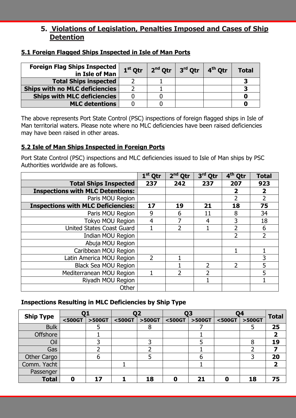# **5. Violations of Legislation, Penalties Imposed and Cases of Ship Detention**

| <b>Foreign Flag Ships Inspected</b><br>in Isle of Man | $1st$ Otr | $2nd$ Otr $\ $ | $3^{\text{rd}}$ Otr $\mid 4^{\text{th}}$ Otr | <b>Total</b> |
|-------------------------------------------------------|-----------|----------------|----------------------------------------------|--------------|
| <b>Total Ships inspected</b>                          |           |                |                                              |              |
| <b>Ships with no MLC deficiencies</b>                 |           |                |                                              |              |
| <b>Ships with MLC deficiencies</b>                    |           |                |                                              |              |
| <b>MLC detentions</b>                                 |           |                |                                              |              |

## **5.1 Foreign Flagged Ships Inspected in Isle of Man Ports**

The above represents Port State Control (PSC) inspections of foreign flagged ships in Isle of Man territorial waters. Please note where no MLC deficiencies have been raised deficiencies may have been raised in other areas.

## **5.2 Isle of Man Ships Inspected in Foreign Ports**

Port State Control (PSC) inspections and MLC deficiencies issued to Isle of Man ships by PSC Authorities worldwide are as follows.

|                                           | $1st$ Qtr      | $2nd$ Qtr | 3 <sup>rd</sup> Qtr      | 4 <sup>th</sup> Qtr      | <b>Total</b>            |
|-------------------------------------------|----------------|-----------|--------------------------|--------------------------|-------------------------|
| <b>Total Ships Inspected</b>              | 237            | 242       | 237                      | 207                      | 923                     |
| <b>Inspections with MLC Detentions:</b>   |                |           |                          | 2                        | $\overline{\mathbf{2}}$ |
| Paris MOU Region                          |                |           |                          | 2                        | $\overline{2}$          |
| <b>Inspections with MLC Deficiencies:</b> | 17             | 19        | 21                       | 18                       | 75                      |
| Paris MOU Region                          | 9              | 6         | 11                       | 8                        | 34                      |
| Tokyo MOU Region                          | $\overline{4}$ | 7         | $\overline{4}$           | 3                        | 18                      |
| United States Coast Guard                 |                | 2         |                          | $\overline{\phantom{a}}$ | 6                       |
| <b>Indian MOU Region</b>                  |                |           |                          | 2                        | $\overline{2}$          |
| Abuja MOU Region                          |                |           |                          |                          |                         |
| Caribbean MOU Region                      |                |           |                          |                          |                         |
| Latin America MOU Region                  | $\overline{2}$ |           |                          |                          | 3                       |
| <b>Black Sea MOU Region</b>               |                |           | 2                        | $\overline{2}$           | 5                       |
| Mediterranean MOU Region                  |                | 2         | $\overline{\phantom{a}}$ |                          | 5                       |
| Riyadh MOU Region                         |                |           |                          |                          |                         |
| Other                                     |                |           |                          |                          |                         |

## **Inspections Resulting in MLC Deficiencies by Ship Type**

| <b>Ship Type</b>   |        |        | 02     |        |        |        | 04     |        | <b>Total</b> |
|--------------------|--------|--------|--------|--------|--------|--------|--------|--------|--------------|
|                    | <500GT | >500GT | <500GT | >500GT | <500GT | >500GT | <500GT | >500GT |              |
| <b>Bulk</b>        |        |        |        | 8      |        |        |        |        | 25           |
| <b>Offshore</b>    |        |        |        |        |        |        |        |        |              |
| Oil                |        |        |        | ว      |        |        |        | Ջ      | 19           |
| Gas                |        |        |        |        |        |        |        |        |              |
| <b>Other Cargo</b> |        | n      |        |        |        | b      |        |        | 20           |
| Comm. Yacht        |        |        |        |        |        |        |        |        |              |
| Passenger          |        |        |        |        |        |        |        |        |              |
| <b>Total</b>       | 0      | 17     |        | 18     | 0      | 21     | 0      | 18     | 75           |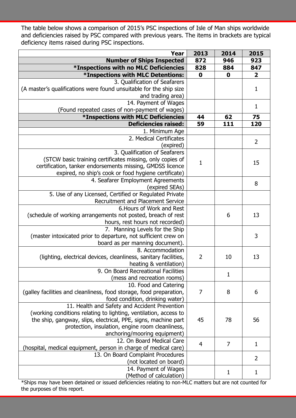The table below shows a comparison of 2015's PSC inspections of Isle of Man ships worldwide and deficiencies raised by PSC compared with previous years. The items in brackets are typical deficiency items raised during PSC inspections.

| <b>Year</b>                                                                                     | 2013           | 2014         | 2015                    |
|-------------------------------------------------------------------------------------------------|----------------|--------------|-------------------------|
| <b>Number of Ships Inspected</b>                                                                | 872            | 946          | 923                     |
| <b>*Inspections with no MLC Deficiencies</b>                                                    | 828            | 884          | 847                     |
| *Inspections with MLC Detentions:                                                               | $\mathbf 0$    | $\mathbf 0$  | $\overline{\mathbf{2}}$ |
| 3. Qualification of Seafarers                                                                   |                |              |                         |
| (A master's qualifications were found unsuitable for the ship size                              |                |              | 1                       |
| and trading area)                                                                               |                |              |                         |
| 14. Payment of Wages                                                                            |                |              | $\mathbf{1}$            |
| (Found repeated cases of non-payment of wages)                                                  |                |              |                         |
| <b>*Inspections with MLC Deficiencies</b>                                                       | 44             | 62           | 75                      |
| <b>Deficiencies raised:</b>                                                                     | 59             | 111          | 120                     |
| 1. Minimum Age                                                                                  |                |              |                         |
| 2. Medical Certificates                                                                         |                |              | $\overline{2}$          |
| (expired)                                                                                       |                |              |                         |
| 3. Qualification of Seafarers                                                                   |                |              |                         |
| (STCW basic training certificates missing, only copies of                                       | $\mathbf{1}$   |              | 15                      |
| certification, tanker endorsements missing, GMDSS licence                                       |                |              |                         |
| expired, no ship's cook or food hygiene certificate)                                            |                |              |                         |
| 4. Seafarer Employment Agreements                                                               |                |              | 8                       |
| (expired SEAs)                                                                                  |                |              |                         |
| 5. Use of any Licensed, Certified or Regulated Private                                          |                |              |                         |
| Recruitment and Placement Service                                                               |                |              |                         |
| 6. Hours of Work and Rest                                                                       |                |              |                         |
| (schedule of working arrangements not posted, breach of rest<br>hours, rest hours not recorded) |                | 6            | 13                      |
| 7. Manning Levels for the Ship                                                                  |                |              |                         |
| (master intoxicated prior to departure, not sufficient crew on                                  |                |              | 3                       |
| board as per manning document).                                                                 |                |              |                         |
| 8. Accommodation                                                                                |                |              |                         |
| (lighting, electrical devices, cleanliness, sanitary facilities,                                | $\overline{2}$ | 10           | 13                      |
| heating & ventilation)                                                                          |                |              |                         |
| 9. On Board Recreational Facilities                                                             |                |              |                         |
| (mess and recreation rooms)                                                                     |                | $\mathbf{1}$ |                         |
| 10. Food and Catering                                                                           |                |              |                         |
| (galley facilities and cleanliness, food storage, food preparation,                             | 7              | 8            | 6                       |
| food condition, drinking water)                                                                 |                |              |                         |
| 11. Health and Safety and Accident Prevention                                                   |                |              |                         |
| (working conditions relating to lighting, ventilation, access to                                |                |              |                         |
| the ship, gangway, slips, electrical, PPE, signs, machine part                                  | 45             | 78           | 56                      |
| protection, insulation, engine room cleanliness,                                                |                |              |                         |
| anchoring/mooring equipment)                                                                    |                |              |                         |
| 12. On Board Medical Care                                                                       | $\overline{4}$ | 7            | $\mathbf{1}$            |
| (hospital, medical equipment, person in charge of medical care)                                 |                |              |                         |
| 13. On Board Complaint Procedures                                                               |                |              | 2                       |
| (not located on board)                                                                          |                |              |                         |
| 14. Payment of Wages                                                                            |                | 1            | $\mathbf 1$             |
| (Method of calculation)                                                                         |                |              |                         |

\*Ships may have been detained or issued deficiencies relating to non-MLC matters but are not counted for the purposes of this report.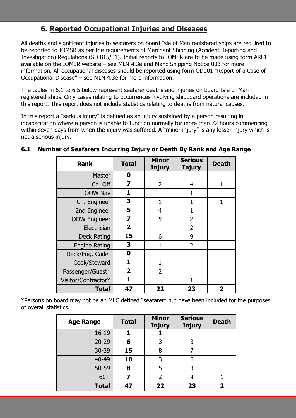# **6. Reported Occupational Injuries and Diseases**

All deaths and significant injuries to seafarers on board Isle of Man registered ships are required to be reported to IOMSR as per the requirements of Merchant Shipping (Accident Reporting and Investigation) Regulations (SD 815/01). Initial reports to IOMSR are to be made using form ARF1 available on the IOMSR website – see MLN 4.3e and Manx Shipping Notice 003 for more information. All occupational diseases should be reported using form OD001 "Report of a Case of Occupational Disease" – see MLN 4.3e for more information.

The tables in 6.1 to 6.5 below represent seafarer deaths and injuries on board Isle of Man registered ships. Only cases relating to occurrences involving shipboard operations are included in this report. This report does not include statistics relating to deaths from natural causes.

In this report a "serious injury" is defined as an injury sustained by a person resulting in incapacitation where a person is unable to function normally for more than 72 hours commencing within seven days from when the injury was suffered. A "minor injury" is any lesser injury which is not a serious injury.

| <b>Rank</b>          | <b>Total</b>            | <b>Minor</b><br><b>Injury</b> | <b>Serious</b><br><b>Injury</b> | <b>Death</b> |
|----------------------|-------------------------|-------------------------------|---------------------------------|--------------|
| <b>Master</b>        | 0                       |                               |                                 |              |
| Ch. Off              | $\overline{\mathbf{z}}$ | $\overline{2}$                | $\overline{4}$                  |              |
| OOW Nav              | 1                       |                               | $\mathbf{1}$                    |              |
| Ch. Engineer         | 3                       | 1                             | 1                               |              |
| 2nd Engineer         | 5                       | 4                             | 1                               |              |
| <b>OOW Engineer</b>  | $\overline{\mathbf{z}}$ | 5                             | $\overline{2}$                  |              |
| Electrician          | $\overline{2}$          |                               | $\overline{2}$                  |              |
| <b>Deck Rating</b>   | 15                      | 6                             | 9                               |              |
| <b>Engine Rating</b> | 3                       | 1                             | $\overline{2}$                  |              |
| Deck/Eng. Cadet      | 0                       |                               |                                 |              |
| Cook/Steward         | 1                       | 1                             |                                 |              |
| Passenger/Guest*     | $\overline{2}$          | 2                             |                                 |              |
| Visitor/Contractor*  | 1.                      |                               | 1                               |              |
| <b>Total</b>         | 47                      | 22                            | 23                              | 2            |

## **6.1 Number of Seafarers Incurring Injury or Death By Rank and Age Range**

\*Persons on board may not be an MLC defined "seafarer" but have been included for the purposes of overall statistics.

| <b>Age Range</b> | <b>Total</b> | <b>Minor</b><br><b>Injury</b> | <b>Serious</b><br><b>Injury</b> | <b>Death</b> |
|------------------|--------------|-------------------------------|---------------------------------|--------------|
| $16 - 19$        |              |                               |                                 |              |
| $20 - 29$        | 6            | 3                             | 3                               |              |
| $30 - 39$        | 15           | 8                             | 7                               |              |
| 40-49            | 10           | 3                             | 6                               |              |
| 50-59            | 8            | 5                             | 3                               |              |
| $60+$            | 7            | $\mathcal{P}$                 |                                 |              |
| <b>Total</b>     | 47           | 22                            | 23                              |              |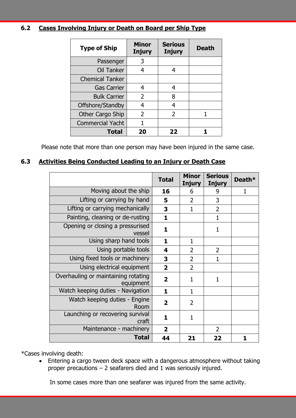## **6.2 Cases Involving Injury or Death on Board per Ship Type**

| <b>Type of Ship</b>     | <b>Minor</b><br><b>Injury</b> | <b>Serious</b><br><b>Injury</b> | <b>Death</b> |
|-------------------------|-------------------------------|---------------------------------|--------------|
| Passenger               | 3                             |                                 |              |
| Oil Tanker              | 4                             | 4                               |              |
| <b>Chemical Tanker</b>  |                               |                                 |              |
| <b>Gas Carrier</b>      |                               | 4                               |              |
| <b>Bulk Carrier</b>     | $\overline{2}$                | 8                               |              |
| Offshore/Standby        | 4                             | 4                               |              |
| Other Cargo Ship        | 2                             | $\overline{\phantom{a}}$        |              |
| <b>Commercial Yacht</b> |                               |                                 |              |
| <b>Total</b>            | 20                            | 22                              |              |

Please note that more than one person may have been injured in the same case.

## **6.3 Activities Being Conducted Leading to an Injury or Death Case**

|                                                  | <b>Total</b>            | <b>Minor</b><br><b>Injury</b> | <b>Serious</b><br><b>Injury</b> | Death* |
|--------------------------------------------------|-------------------------|-------------------------------|---------------------------------|--------|
| Moving about the ship                            | 16                      | 6                             | 9                               | 1      |
| Lifting or carrying by hand                      | 5                       | $\overline{2}$                | 3                               |        |
| Lifting or carrying mechanically                 | 3                       | $\mathbf{1}$                  | $\overline{2}$                  |        |
| Painting, cleaning or de-rusting                 | 1                       |                               | 1                               |        |
| Opening or closing a pressurised<br>vessel       | $\mathbf{1}$            |                               | $\mathbf{1}$                    |        |
| Using sharp hand tools                           | $\mathbf{1}$            | $\mathbf{1}$                  |                                 |        |
| Using portable tools                             | 4                       | $\overline{2}$                | $\overline{2}$                  |        |
| Using fixed tools or machinery                   | 3                       | $\overline{2}$                | 1                               |        |
| Using electrical equipment                       | $\overline{2}$          | $\overline{2}$                |                                 |        |
| Overhauling or maintaining rotating<br>equipment | $\overline{\mathbf{2}}$ | $\mathbf{1}$                  | 1                               |        |
| Watch keeping duties - Navigation                | $\mathbf{1}$            | $\mathbf{1}$                  |                                 |        |
| Watch keeping duties - Engine<br>Room            | $\overline{2}$          | $\overline{2}$                |                                 |        |
| Launching or recovering survival<br>craft        | 1                       | $\mathbf{1}$                  |                                 |        |
| Maintenance - machinery                          | $\overline{\mathbf{2}}$ |                               | $\overline{2}$                  |        |
| <b>Total</b>                                     | 44                      | 21                            | 22                              |        |

\*Cases involving death:

 Entering a cargo tween deck space with a dangerous atmosphere without taking proper precautions – 2 seafarers died and 1 was seriously injured.

In some cases more than one seafarer was injured from the same activity.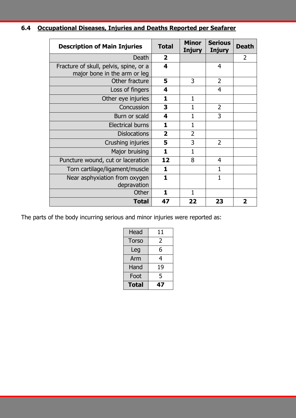| 6.4 Occupational Diseases, Injuries and Deaths Reported per Seafarer |
|----------------------------------------------------------------------|
|----------------------------------------------------------------------|

| <b>Description of Main Injuries</b>                                    | <b>Total</b>            | <b>Minor</b><br><b>Injury</b> | <b>Serious</b><br><b>Injury</b> | <b>Death</b>            |
|------------------------------------------------------------------------|-------------------------|-------------------------------|---------------------------------|-------------------------|
| Death                                                                  | $\overline{2}$          |                               |                                 | 2                       |
| Fracture of skull, pelvis, spine, or a<br>major bone in the arm or leg | 4                       |                               | $\overline{4}$                  |                         |
| Other fracture                                                         | 5                       | 3                             | $\overline{2}$                  |                         |
| Loss of fingers                                                        | 4                       |                               | $\overline{4}$                  |                         |
| Other eye injuries                                                     | 1                       | 1                             |                                 |                         |
| Concussion                                                             | 3                       | 1                             | 2                               |                         |
| Burn or scald                                                          | 4                       | 1                             | 3                               |                         |
| <b>Electrical burns</b>                                                | 1                       | 1                             |                                 |                         |
| <b>Dislocations</b>                                                    | $\overline{\mathbf{2}}$ | $\overline{2}$                |                                 |                         |
| Crushing injuries                                                      | 5                       | 3                             | $\overline{2}$                  |                         |
| Major bruising                                                         | $\mathbf{1}$            | 1                             |                                 |                         |
| Puncture wound, cut or laceration                                      | 12                      | 8                             | $\overline{4}$                  |                         |
| Torn cartilage/ligament/muscle                                         | 1                       |                               | 1                               |                         |
| Near asphyxiation from oxygen<br>depravation                           | $\mathbf{1}$            |                               | 1                               |                         |
| Other                                                                  | $\mathbf{1}$            | $\mathbf{1}$                  |                                 |                         |
| <b>Total</b>                                                           | 47                      | 22                            | 23                              | $\overline{\mathbf{2}}$ |

The parts of the body incurring serious and minor injuries were reported as:

| <b>Total</b> | 47 |
|--------------|----|
| Foot         | 5  |
| Hand         | 19 |
| Arm          | 4  |
| Leg          | 6  |
| <b>Torso</b> | 2  |
| Head         | 11 |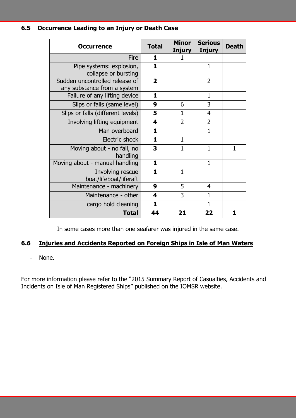## **6.5 Occurrence Leading to an Injury or Death Case**

| <b>Occurrence</b>                                             | <b>Total</b>   | <b>Minor</b><br><b>Injury</b> | <b>Serious</b><br><b>Injury</b> | <b>Death</b> |
|---------------------------------------------------------------|----------------|-------------------------------|---------------------------------|--------------|
| Fire                                                          | 1              |                               |                                 |              |
| Pipe systems: explosion,<br>collapse or bursting              | 1              |                               | 1                               |              |
| Sudden uncontrolled release of<br>any substance from a system | $\overline{2}$ |                               | $\overline{2}$                  |              |
| Failure of any lifting device                                 | 1              |                               | $\mathbf{1}$                    |              |
| Slips or falls (same level)                                   | 9              | 6                             | 3                               |              |
| Slips or falls (different levels)                             | 5              | 1                             | 4                               |              |
| Involving lifting equipment                                   | 4              | $\overline{2}$                | $\overline{2}$                  |              |
| Man overboard                                                 | $\mathbf{1}$   |                               | $\overline{1}$                  |              |
| Electric shock                                                | $\mathbf{1}$   | $\mathbf{1}$                  |                                 |              |
| Moving about - no fall, no<br>handling                        | 3              | 1                             | 1                               | 1            |
| Moving about - manual handling                                | 1              |                               | $\mathbf{1}$                    |              |
| Involving rescue<br>boat/lifeboat/liferaft                    | 1              | $\mathbf{1}$                  |                                 |              |
| Maintenance - machinery                                       | 9              | 5                             | 4                               |              |
| Maintenance - other                                           | 4              | 3                             | $\mathbf{1}$                    |              |
| cargo hold cleaning                                           | $\mathbf{1}$   |                               | 1                               |              |
| <b>Total</b>                                                  | 44             | 21                            | 22                              | 1            |

In some cases more than one seafarer was injured in the same case.

## **6.6 Injuries and Accidents Reported on Foreign Ships in Isle of Man Waters**

- None.

For more information please refer to the "2015 Summary Report of Casualties, Accidents and Incidents on Isle of Man Registered Ships" published on the IOMSR website.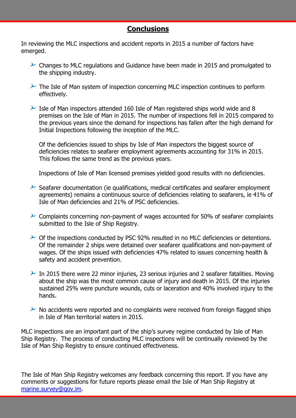# **Conclusions**

In reviewing the MLC inspections and accident reports in 2015 a number of factors have emerged.

- $\sim$  Changes to MLC regulations and Guidance have been made in 2015 and promulgated to the shipping industry.
- $\mathcal P$  The Isle of Man system of inspection concerning MLC inspection continues to perform effectively.
- $\geq$  Isle of Man inspectors attended 160 Isle of Man registered ships world wide and 8 premises on the Isle of Man in 2015. The number of inspections fell in 2015 compared to the previous years since the demand for inspections has fallen after the high demand for Initial Inspections following the inception of the MLC.

Of the deficiencies issued to ships by Isle of Man inspectors the biggest source of deficiencies relates to seafarer employment agreements accounting for 31% in 2015. This follows the same trend as the previous years.

Inspections of Isle of Man licensed premises yielded good results with no deficiencies.

- $\mathcal P$  Seafarer documentation (ie qualifications, medical certificates and seafarer employment agreements) remains a continuous source of deficiencies relating to seafarers, ie 41% of Isle of Man deficiencies and 21% of PSC deficiencies.
- $\sim$  Complaints concerning non-payment of wages accounted for 50% of seafarer complaints submitted to the Isle of Ship Registry.
- $\geq$  Of the inspections conducted by PSC 92% resulted in no MLC deficiencies or detentions. Of the remainder 2 ships were detained over seafarer qualifications and non-payment of wages. Of the ships issued with deficiencies 47% related to issues concerning health & safety and accident prevention.
- $\sim$  In 2015 there were 22 minor injuries, 23 serious injuries and 2 seafarer fatalities. Moving about the ship was the most common cause of injury and death in 2015. Of the injuries sustained 25% were puncture wounds, cuts or laceration and 40% involved injury to the hands.
- $\sim$  No accidents were reported and no complaints were received from foreign flagged ships in Isle of Man territorial waters in 2015.

MLC inspections are an important part of the ship's survey regime conducted by Isle of Man Ship Registry. The process of conducting MLC inspections will be continually reviewed by the Isle of Man Ship Registry to ensure continued effectiveness.

The Isle of Man Ship Registry welcomes any feedback concerning this report. If you have any comments or suggestions for future reports please email the Isle of Man Ship Registry at [marine.survey@gov.im.](mailto:marine.survey@gov.im)